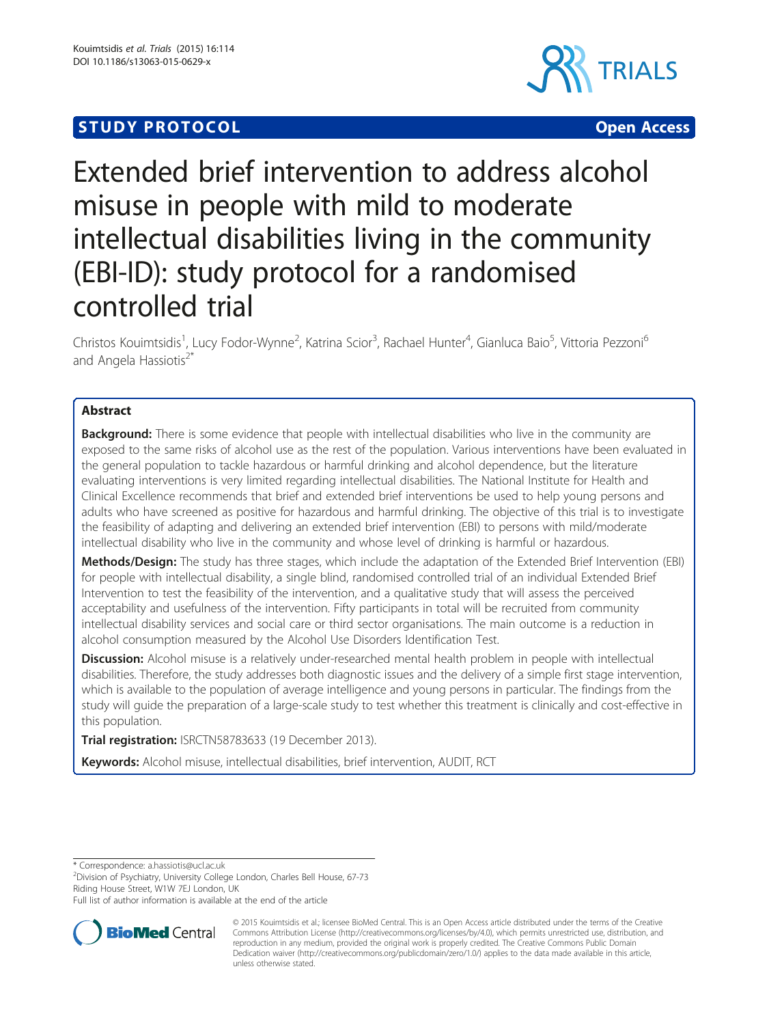## **STUDY PROTOCOL CONSUMING THE CONSUMING OPEN ACCESS**



# Extended brief intervention to address alcohol misuse in people with mild to moderate intellectual disabilities living in the community (EBI-ID): study protocol for a randomised controlled trial

Christos Kouimtsidis<sup>1</sup>, Lucy Fodor-Wynne<sup>2</sup>, Katrina Scior<sup>3</sup>, Rachael Hunter<sup>4</sup>, Gianluca Baio<sup>5</sup>, Vittoria Pezzoni<sup>6</sup> and Angela Hassiotis<sup>2\*</sup>

### Abstract

**Background:** There is some evidence that people with intellectual disabilities who live in the community are exposed to the same risks of alcohol use as the rest of the population. Various interventions have been evaluated in the general population to tackle hazardous or harmful drinking and alcohol dependence, but the literature evaluating interventions is very limited regarding intellectual disabilities. The National Institute for Health and Clinical Excellence recommends that brief and extended brief interventions be used to help young persons and adults who have screened as positive for hazardous and harmful drinking. The objective of this trial is to investigate the feasibility of adapting and delivering an extended brief intervention (EBI) to persons with mild/moderate intellectual disability who live in the community and whose level of drinking is harmful or hazardous.

Methods/Design: The study has three stages, which include the adaptation of the Extended Brief Intervention (EBI) for people with intellectual disability, a single blind, randomised controlled trial of an individual Extended Brief Intervention to test the feasibility of the intervention, and a qualitative study that will assess the perceived acceptability and usefulness of the intervention. Fifty participants in total will be recruited from community intellectual disability services and social care or third sector organisations. The main outcome is a reduction in alcohol consumption measured by the Alcohol Use Disorders Identification Test.

Discussion: Alcohol misuse is a relatively under-researched mental health problem in people with intellectual disabilities. Therefore, the study addresses both diagnostic issues and the delivery of a simple first stage intervention, which is available to the population of average intelligence and young persons in particular. The findings from the study will guide the preparation of a large-scale study to test whether this treatment is clinically and cost-effective in this population.

Trial registration: [ISRCTN58783633](http://www.controlled-trials.com/ISRCTN58783633) (19 December 2013).

Keywords: Alcohol misuse, intellectual disabilities, brief intervention, AUDIT, RCT

\* Correspondence: [a.hassiotis@ucl.ac.uk](mailto:a.hassiotis@ucl.ac.uk) <sup>2</sup>

<sup>2</sup>Division of Psychiatry, University College London, Charles Bell House, 67-73 Riding House Street, W1W 7EJ London, UK

Full list of author information is available at the end of the article



© 2015 Kouimtsidis et al.; licensee BioMed Central. This is an Open Access article distributed under the terms of the Creative Commons Attribution License [\(http://creativecommons.org/licenses/by/4.0\)](http://creativecommons.org/licenses/by/4.0), which permits unrestricted use, distribution, and reproduction in any medium, provided the original work is properly credited. The Creative Commons Public Domain Dedication waiver [\(http://creativecommons.org/publicdomain/zero/1.0/](http://creativecommons.org/publicdomain/zero/1.0/)) applies to the data made available in this article, unless otherwise stated.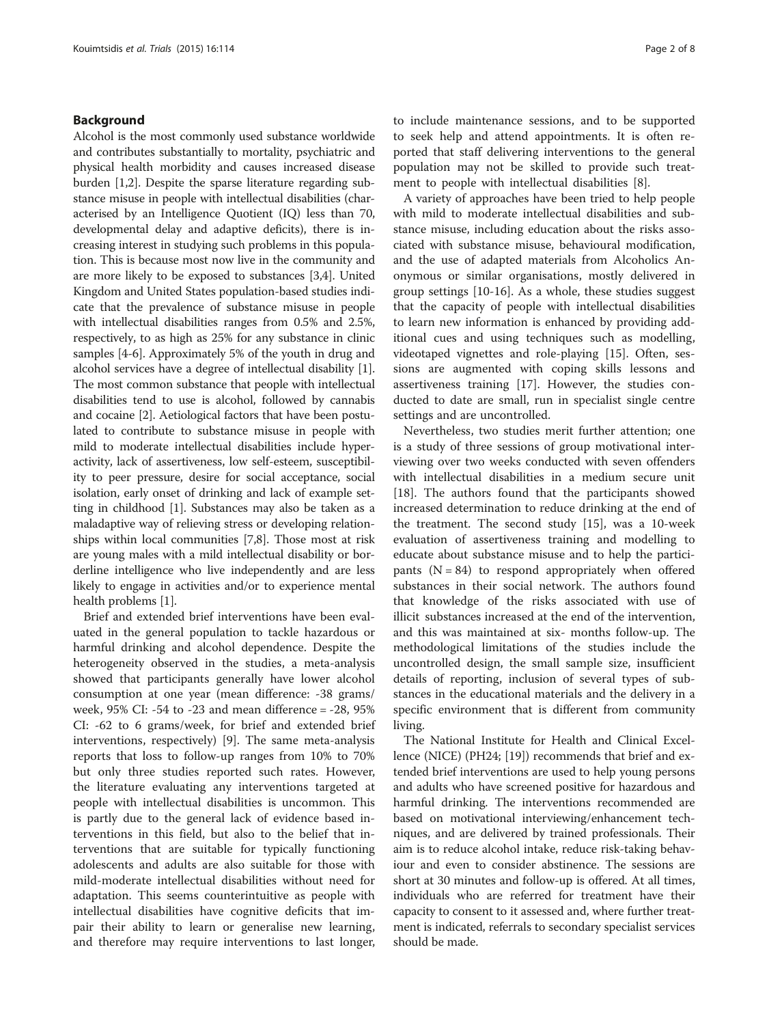#### Background

Alcohol is the most commonly used substance worldwide and contributes substantially to mortality, psychiatric and physical health morbidity and causes increased disease burden [\[1,2\]](#page-6-0). Despite the sparse literature regarding substance misuse in people with intellectual disabilities (characterised by an Intelligence Quotient (IQ) less than 70, developmental delay and adaptive deficits), there is increasing interest in studying such problems in this population. This is because most now live in the community and are more likely to be exposed to substances [[3,4](#page-7-0)]. United Kingdom and United States population-based studies indicate that the prevalence of substance misuse in people with intellectual disabilities ranges from 0.5% and 2.5%, respectively, to as high as 25% for any substance in clinic samples [\[4](#page-7-0)-[6](#page-7-0)]. Approximately 5% of the youth in drug and alcohol services have a degree of intellectual disability [[1](#page-6-0)]. The most common substance that people with intellectual disabilities tend to use is alcohol, followed by cannabis and cocaine [\[2](#page-6-0)]. Aetiological factors that have been postulated to contribute to substance misuse in people with mild to moderate intellectual disabilities include hyperactivity, lack of assertiveness, low self-esteem, susceptibility to peer pressure, desire for social acceptance, social isolation, early onset of drinking and lack of example setting in childhood [\[1](#page-6-0)]. Substances may also be taken as a maladaptive way of relieving stress or developing relationships within local communities [[7,8](#page-7-0)]. Those most at risk are young males with a mild intellectual disability or borderline intelligence who live independently and are less likely to engage in activities and/or to experience mental health problems [\[1\]](#page-6-0).

Brief and extended brief interventions have been evaluated in the general population to tackle hazardous or harmful drinking and alcohol dependence. Despite the heterogeneity observed in the studies, a meta-analysis showed that participants generally have lower alcohol consumption at one year (mean difference: -38 grams/ week, 95% CI: -54 to -23 and mean difference = -28, 95% CI: -62 to 6 grams/week, for brief and extended brief interventions, respectively) [\[9](#page-7-0)]. The same meta-analysis reports that loss to follow-up ranges from 10% to 70% but only three studies reported such rates. However, the literature evaluating any interventions targeted at people with intellectual disabilities is uncommon. This is partly due to the general lack of evidence based interventions in this field, but also to the belief that interventions that are suitable for typically functioning adolescents and adults are also suitable for those with mild-moderate intellectual disabilities without need for adaptation. This seems counterintuitive as people with intellectual disabilities have cognitive deficits that impair their ability to learn or generalise new learning, and therefore may require interventions to last longer, to include maintenance sessions, and to be supported to seek help and attend appointments. It is often reported that staff delivering interventions to the general population may not be skilled to provide such treatment to people with intellectual disabilities [[8\]](#page-7-0).

A variety of approaches have been tried to help people with mild to moderate intellectual disabilities and substance misuse, including education about the risks associated with substance misuse, behavioural modification, and the use of adapted materials from Alcoholics Anonymous or similar organisations, mostly delivered in group settings [[10](#page-7-0)-[16\]](#page-7-0). As a whole, these studies suggest that the capacity of people with intellectual disabilities to learn new information is enhanced by providing additional cues and using techniques such as modelling, videotaped vignettes and role-playing [\[15\]](#page-7-0). Often, sessions are augmented with coping skills lessons and assertiveness training [\[17](#page-7-0)]. However, the studies conducted to date are small, run in specialist single centre settings and are uncontrolled.

Nevertheless, two studies merit further attention; one is a study of three sessions of group motivational interviewing over two weeks conducted with seven offenders with intellectual disabilities in a medium secure unit [[18\]](#page-7-0). The authors found that the participants showed increased determination to reduce drinking at the end of the treatment. The second study [[15\]](#page-7-0), was a 10-week evaluation of assertiveness training and modelling to educate about substance misuse and to help the participants  $(N = 84)$  to respond appropriately when offered substances in their social network. The authors found that knowledge of the risks associated with use of illicit substances increased at the end of the intervention, and this was maintained at six- months follow-up. The methodological limitations of the studies include the uncontrolled design, the small sample size, insufficient details of reporting, inclusion of several types of substances in the educational materials and the delivery in a specific environment that is different from community living.

The National Institute for Health and Clinical Excellence (NICE) (PH24; [\[19](#page-7-0)]) recommends that brief and extended brief interventions are used to help young persons and adults who have screened positive for hazardous and harmful drinking. The interventions recommended are based on motivational interviewing/enhancement techniques, and are delivered by trained professionals. Their aim is to reduce alcohol intake, reduce risk-taking behaviour and even to consider abstinence. The sessions are short at 30 minutes and follow-up is offered. At all times, individuals who are referred for treatment have their capacity to consent to it assessed and, where further treatment is indicated, referrals to secondary specialist services should be made.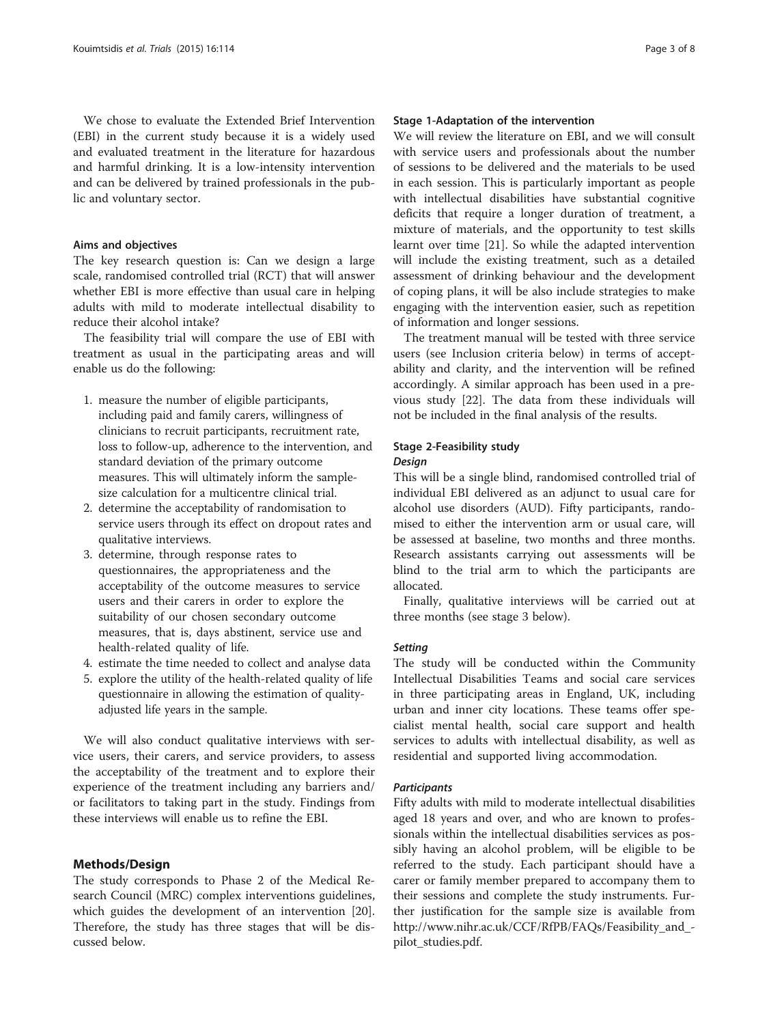#### Aims and objectives

The key research question is: Can we design a large scale, randomised controlled trial (RCT) that will answer whether EBI is more effective than usual care in helping adults with mild to moderate intellectual disability to reduce their alcohol intake?

The feasibility trial will compare the use of EBI with treatment as usual in the participating areas and will enable us do the following:

- 1. measure the number of eligible participants, including paid and family carers, willingness of clinicians to recruit participants, recruitment rate, loss to follow-up, adherence to the intervention, and standard deviation of the primary outcome measures. This will ultimately inform the samplesize calculation for a multicentre clinical trial.
- 2. determine the acceptability of randomisation to service users through its effect on dropout rates and qualitative interviews.
- 3. determine, through response rates to questionnaires, the appropriateness and the acceptability of the outcome measures to service users and their carers in order to explore the suitability of our chosen secondary outcome measures, that is, days abstinent, service use and health-related quality of life.
- 4. estimate the time needed to collect and analyse data
- 5. explore the utility of the health-related quality of life questionnaire in allowing the estimation of qualityadjusted life years in the sample.

We will also conduct qualitative interviews with service users, their carers, and service providers, to assess the acceptability of the treatment and to explore their experience of the treatment including any barriers and/ or facilitators to taking part in the study. Findings from these interviews will enable us to refine the EBI.

#### Methods/Design

The study corresponds to Phase 2 of the Medical Research Council (MRC) complex interventions guidelines, which guides the development of an intervention [\[20](#page-7-0)]. Therefore, the study has three stages that will be discussed below.

#### Stage 1-Adaptation of the intervention

We will review the literature on EBI, and we will consult with service users and professionals about the number of sessions to be delivered and the materials to be used in each session. This is particularly important as people with intellectual disabilities have substantial cognitive deficits that require a longer duration of treatment, a mixture of materials, and the opportunity to test skills learnt over time [\[21](#page-7-0)]. So while the adapted intervention will include the existing treatment, such as a detailed assessment of drinking behaviour and the development of coping plans, it will be also include strategies to make engaging with the intervention easier, such as repetition of information and longer sessions.

The treatment manual will be tested with three service users (see [Inclusion criteria](#page-3-0) below) in terms of acceptability and clarity, and the intervention will be refined accordingly. A similar approach has been used in a previous study [[22\]](#page-7-0). The data from these individuals will not be included in the final analysis of the results.

#### Stage 2-Feasibility study **Desian**

This will be a single blind, randomised controlled trial of individual EBI delivered as an adjunct to usual care for alcohol use disorders (AUD). Fifty participants, randomised to either the intervention arm or usual care, will be assessed at baseline, two months and three months. Research assistants carrying out assessments will be blind to the trial arm to which the participants are allocated.

Finally, qualitative interviews will be carried out at three months (see stage 3 below).

#### **Setting**

The study will be conducted within the Community Intellectual Disabilities Teams and social care services in three participating areas in England, UK, including urban and inner city locations. These teams offer specialist mental health, social care support and health services to adults with intellectual disability, as well as residential and supported living accommodation.

#### **Participants**

Fifty adults with mild to moderate intellectual disabilities aged 18 years and over, and who are known to professionals within the intellectual disabilities services as possibly having an alcohol problem, will be eligible to be referred to the study. Each participant should have a carer or family member prepared to accompany them to their sessions and complete the study instruments. Further justification for the sample size is available from [http://www.nihr.ac.uk/CCF/RfPB/FAQs/Feasibility\\_and\\_](http://www.nihr.ac.uk/CCF/RfPB/FAQs/Feasibility_and_pilot_studies.pdf) [pilot\\_studies.pdf.](http://www.nihr.ac.uk/CCF/RfPB/FAQs/Feasibility_and_pilot_studies.pdf)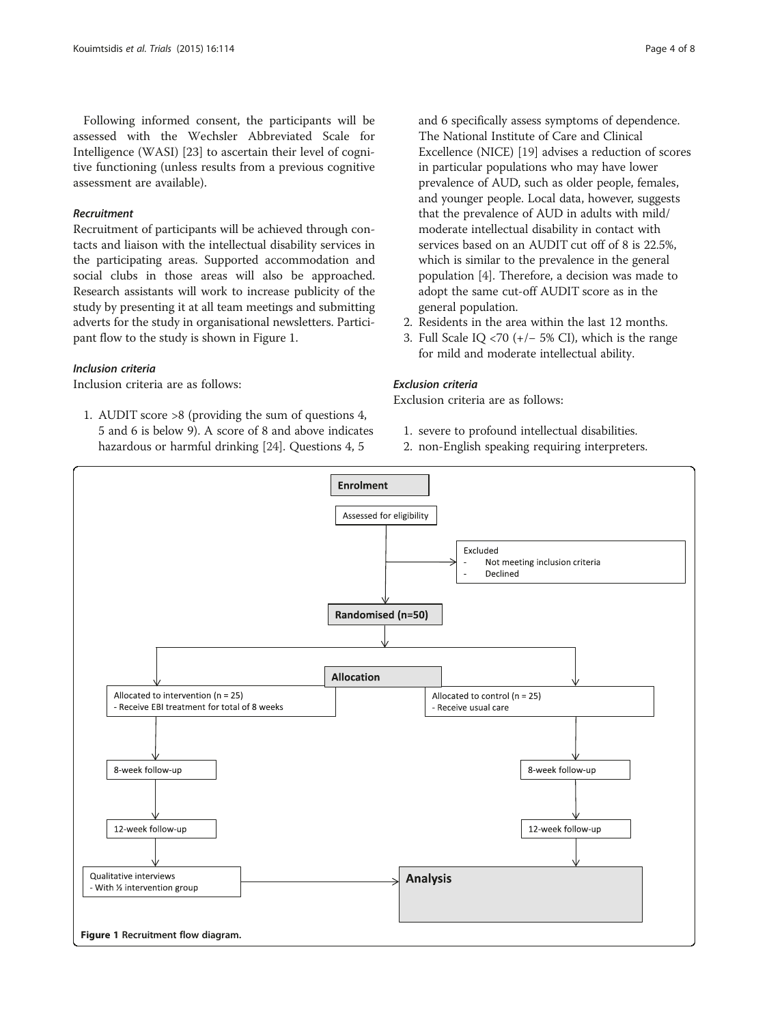<span id="page-3-0"></span>Following informed consent, the participants will be assessed with the Wechsler Abbreviated Scale for Intelligence (WASI) [\[23](#page-7-0)] to ascertain their level of cognitive functioning (unless results from a previous cognitive assessment are available).

#### Recruitment

Recruitment of participants will be achieved through contacts and liaison with the intellectual disability services in the participating areas. Supported accommodation and social clubs in those areas will also be approached. Research assistants will work to increase publicity of the study by presenting it at all team meetings and submitting adverts for the study in organisational newsletters. Participant flow to the study is shown in Figure 1.

#### Inclusion criteria

Inclusion criteria are as follows:

1. AUDIT score >8 (providing the sum of questions 4, 5 and 6 is below 9). A score of 8 and above indicates hazardous or harmful drinking [\[24\]](#page-7-0). Questions 4, 5

and 6 specifically assess symptoms of dependence. The National Institute of Care and Clinical Excellence (NICE) [\[19\]](#page-7-0) advises a reduction of scores in particular populations who may have lower prevalence of AUD, such as older people, females, and younger people. Local data, however, suggests that the prevalence of AUD in adults with mild/ moderate intellectual disability in contact with services based on an AUDIT cut off of 8 is 22.5%, which is similar to the prevalence in the general population [[4](#page-7-0)]. Therefore, a decision was made to adopt the same cut-off AUDIT score as in the general population.

- 2. Residents in the area within the last 12 months.
- 3. Full Scale IQ <70 (+/− 5% CI), which is the range for mild and moderate intellectual ability.

#### Exclusion criteria

Exclusion criteria are as follows:

- 1. severe to profound intellectual disabilities.
- 2. non-English speaking requiring interpreters.

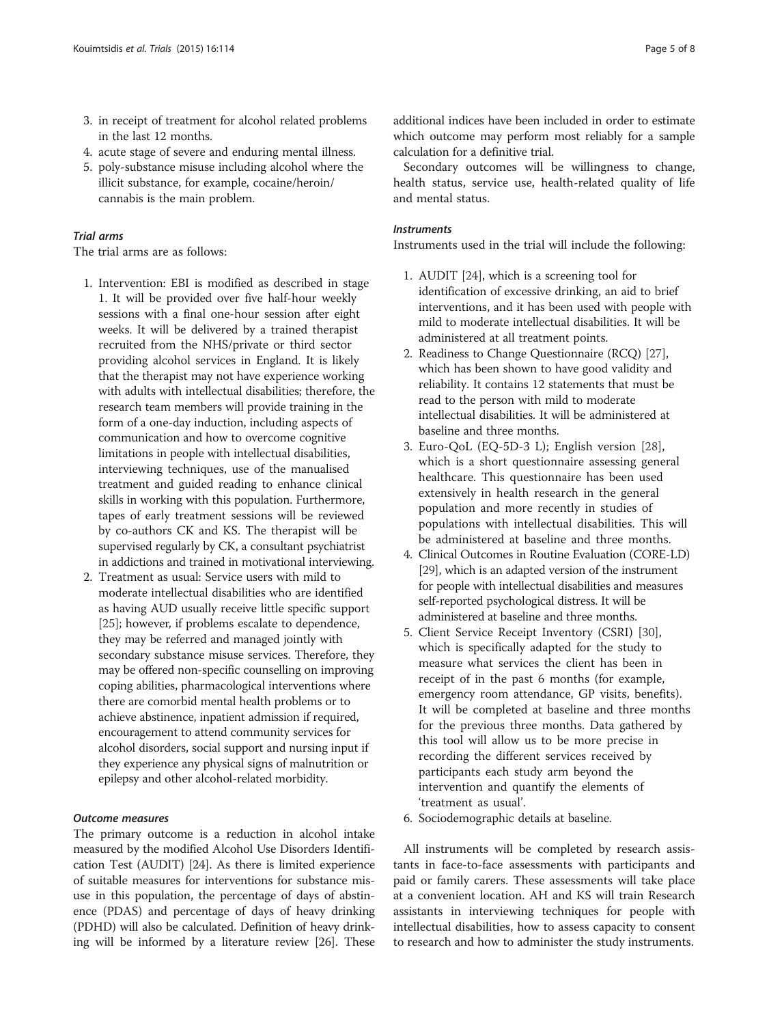- 3. in receipt of treatment for alcohol related problems in the last 12 months.
- 4. acute stage of severe and enduring mental illness.
- 5. poly-substance misuse including alcohol where the illicit substance, for example, cocaine/heroin/ cannabis is the main problem.

#### Trial arms

The trial arms are as follows:

- 1. Intervention: EBI is modified as described in stage 1. It will be provided over five half-hour weekly sessions with a final one-hour session after eight weeks. It will be delivered by a trained therapist recruited from the NHS/private or third sector providing alcohol services in England. It is likely that the therapist may not have experience working with adults with intellectual disabilities; therefore, the research team members will provide training in the form of a one-day induction, including aspects of communication and how to overcome cognitive limitations in people with intellectual disabilities, interviewing techniques, use of the manualised treatment and guided reading to enhance clinical skills in working with this population. Furthermore, tapes of early treatment sessions will be reviewed by co-authors CK and KS. The therapist will be supervised regularly by CK, a consultant psychiatrist in addictions and trained in motivational interviewing.
- 2. Treatment as usual: Service users with mild to moderate intellectual disabilities who are identified as having AUD usually receive little specific support [\[25](#page-7-0)]; however, if problems escalate to dependence, they may be referred and managed jointly with secondary substance misuse services. Therefore, they may be offered non-specific counselling on improving coping abilities, pharmacological interventions where there are comorbid mental health problems or to achieve abstinence, inpatient admission if required, encouragement to attend community services for alcohol disorders, social support and nursing input if they experience any physical signs of malnutrition or epilepsy and other alcohol-related morbidity.

#### Outcome measures

The primary outcome is a reduction in alcohol intake measured by the modified Alcohol Use Disorders Identification Test (AUDIT) [\[24\]](#page-7-0). As there is limited experience of suitable measures for interventions for substance misuse in this population, the percentage of days of abstinence (PDAS) and percentage of days of heavy drinking (PDHD) will also be calculated. Definition of heavy drinking will be informed by a literature review [\[26\]](#page-7-0). These additional indices have been included in order to estimate which outcome may perform most reliably for a sample calculation for a definitive trial.

Secondary outcomes will be willingness to change, health status, service use, health-related quality of life and mental status.

#### **Instruments**

Instruments used in the trial will include the following:

- 1. AUDIT [[24](#page-7-0)], which is a screening tool for identification of excessive drinking, an aid to brief interventions, and it has been used with people with mild to moderate intellectual disabilities. It will be administered at all treatment points.
- 2. Readiness to Change Questionnaire (RCQ) [\[27\]](#page-7-0), which has been shown to have good validity and reliability. It contains 12 statements that must be read to the person with mild to moderate intellectual disabilities. It will be administered at baseline and three months.
- 3. Euro-QoL (EQ-5D-3 L); English version [[28\]](#page-7-0), which is a short questionnaire assessing general healthcare. This questionnaire has been used extensively in health research in the general population and more recently in studies of populations with intellectual disabilities. This will be administered at baseline and three months.
- 4. Clinical Outcomes in Routine Evaluation (CORE-LD) [\[29\]](#page-7-0), which is an adapted version of the instrument for people with intellectual disabilities and measures self-reported psychological distress. It will be administered at baseline and three months.
- 5. Client Service Receipt Inventory (CSRI) [[30](#page-7-0)], which is specifically adapted for the study to measure what services the client has been in receipt of in the past 6 months (for example, emergency room attendance, GP visits, benefits). It will be completed at baseline and three months for the previous three months. Data gathered by this tool will allow us to be more precise in recording the different services received by participants each study arm beyond the intervention and quantify the elements of 'treatment as usual'.
- 6. Sociodemographic details at baseline.

All instruments will be completed by research assistants in face-to-face assessments with participants and paid or family carers. These assessments will take place at a convenient location. AH and KS will train Research assistants in interviewing techniques for people with intellectual disabilities, how to assess capacity to consent to research and how to administer the study instruments.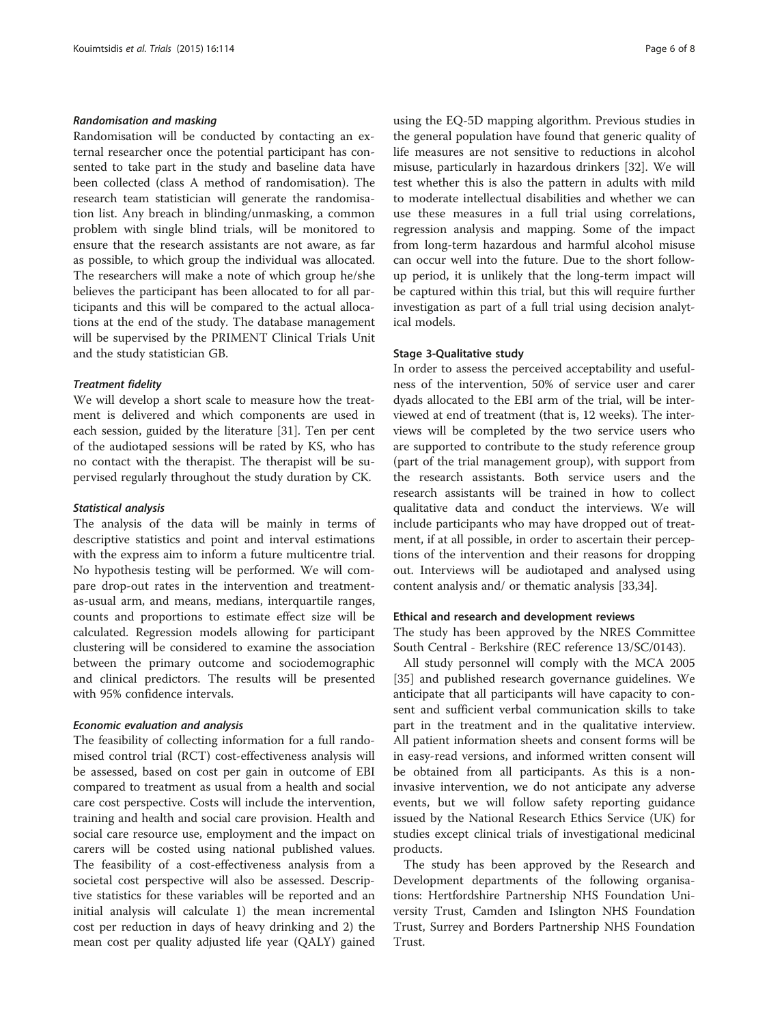#### Randomisation and masking

Randomisation will be conducted by contacting an external researcher once the potential participant has consented to take part in the study and baseline data have been collected (class A method of randomisation). The research team statistician will generate the randomisation list. Any breach in blinding/unmasking, a common problem with single blind trials, will be monitored to ensure that the research assistants are not aware, as far as possible, to which group the individual was allocated. The researchers will make a note of which group he/she believes the participant has been allocated to for all participants and this will be compared to the actual allocations at the end of the study. The database management will be supervised by the PRIMENT Clinical Trials Unit and the study statistician GB.

#### Treatment fidelity

We will develop a short scale to measure how the treatment is delivered and which components are used in each session, guided by the literature [[31\]](#page-7-0). Ten per cent of the audiotaped sessions will be rated by KS, who has no contact with the therapist. The therapist will be supervised regularly throughout the study duration by CK.

#### Statistical analysis

The analysis of the data will be mainly in terms of descriptive statistics and point and interval estimations with the express aim to inform a future multicentre trial. No hypothesis testing will be performed. We will compare drop-out rates in the intervention and treatmentas-usual arm, and means, medians, interquartile ranges, counts and proportions to estimate effect size will be calculated. Regression models allowing for participant clustering will be considered to examine the association between the primary outcome and sociodemographic and clinical predictors. The results will be presented with 95% confidence intervals.

#### Economic evaluation and analysis

The feasibility of collecting information for a full randomised control trial (RCT) cost-effectiveness analysis will be assessed, based on cost per gain in outcome of EBI compared to treatment as usual from a health and social care cost perspective. Costs will include the intervention, training and health and social care provision. Health and social care resource use, employment and the impact on carers will be costed using national published values. The feasibility of a cost-effectiveness analysis from a societal cost perspective will also be assessed. Descriptive statistics for these variables will be reported and an initial analysis will calculate 1) the mean incremental cost per reduction in days of heavy drinking and 2) the mean cost per quality adjusted life year (QALY) gained

using the EQ-5D mapping algorithm. Previous studies in the general population have found that generic quality of life measures are not sensitive to reductions in alcohol misuse, particularly in hazardous drinkers [[32\]](#page-7-0). We will test whether this is also the pattern in adults with mild to moderate intellectual disabilities and whether we can use these measures in a full trial using correlations, regression analysis and mapping. Some of the impact from long-term hazardous and harmful alcohol misuse can occur well into the future. Due to the short followup period, it is unlikely that the long-term impact will be captured within this trial, but this will require further investigation as part of a full trial using decision analytical models.

#### Stage 3-Qualitative study

In order to assess the perceived acceptability and usefulness of the intervention, 50% of service user and carer dyads allocated to the EBI arm of the trial, will be interviewed at end of treatment (that is, 12 weeks). The interviews will be completed by the two service users who are supported to contribute to the study reference group (part of the trial management group), with support from the research assistants. Both service users and the research assistants will be trained in how to collect qualitative data and conduct the interviews. We will include participants who may have dropped out of treatment, if at all possible, in order to ascertain their perceptions of the intervention and their reasons for dropping out. Interviews will be audiotaped and analysed using content analysis and/ or thematic analysis [\[33,34\]](#page-7-0).

#### Ethical and research and development reviews

The study has been approved by the NRES Committee South Central - Berkshire (REC reference 13/SC/0143).

All study personnel will comply with the MCA 2005 [[35\]](#page-7-0) and published research governance guidelines. We anticipate that all participants will have capacity to consent and sufficient verbal communication skills to take part in the treatment and in the qualitative interview. All patient information sheets and consent forms will be in easy-read versions, and informed written consent will be obtained from all participants. As this is a noninvasive intervention, we do not anticipate any adverse events, but we will follow safety reporting guidance issued by the National Research Ethics Service (UK) for studies except clinical trials of investigational medicinal products.

The study has been approved by the Research and Development departments of the following organisations: Hertfordshire Partnership NHS Foundation University Trust, Camden and Islington NHS Foundation Trust, Surrey and Borders Partnership NHS Foundation Trust.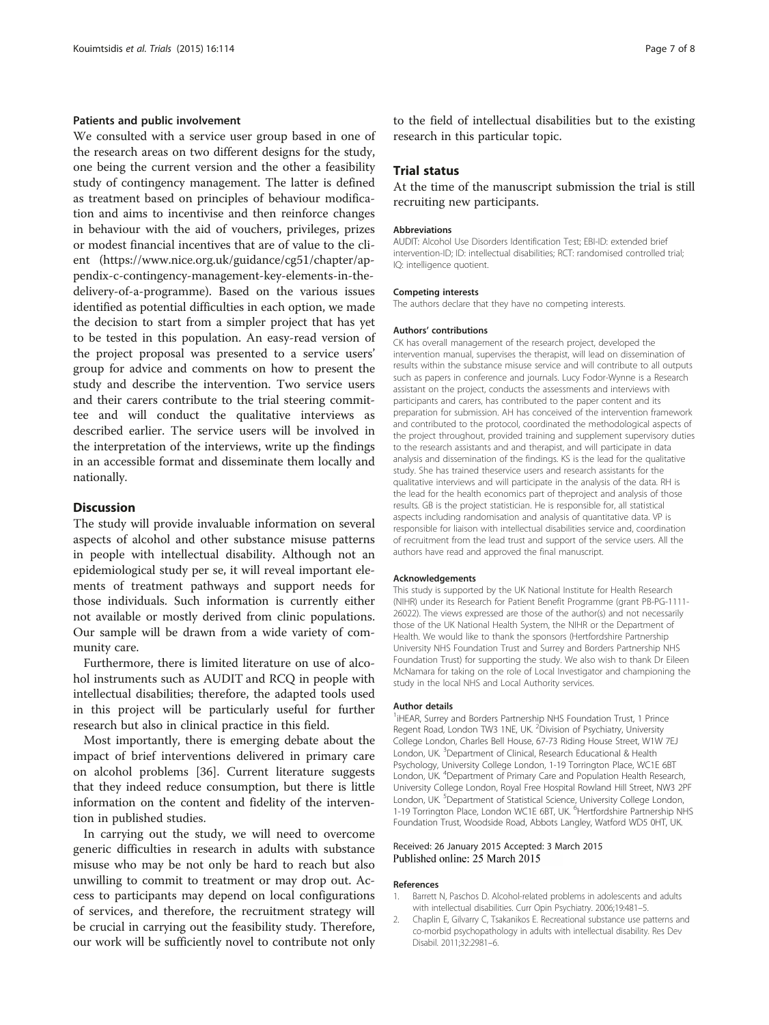#### <span id="page-6-0"></span>Patients and public involvement

We consulted with a service user group based in one of the research areas on two different designs for the study, one being the current version and the other a feasibility study of contingency management. The latter is defined as treatment based on principles of behaviour modification and aims to incentivise and then reinforce changes in behaviour with the aid of vouchers, privileges, prizes or modest financial incentives that are of value to the client [\(https://www.nice.org.uk/guidance/cg51/chapter/ap](https://www.nice.org.uk/guidance/cg51/chapter/appendix-c-contingency-management-key-elements-in-the-delivery-of-a-programme)[pendix-c-contingency-management-key-elements-in-the](https://www.nice.org.uk/guidance/cg51/chapter/appendix-c-contingency-management-key-elements-in-the-delivery-of-a-programme)[delivery-of-a-programme\)](https://www.nice.org.uk/guidance/cg51/chapter/appendix-c-contingency-management-key-elements-in-the-delivery-of-a-programme). Based on the various issues identified as potential difficulties in each option, we made the decision to start from a simpler project that has yet to be tested in this population. An easy-read version of the project proposal was presented to a service users' group for advice and comments on how to present the study and describe the intervention. Two service users and their carers contribute to the trial steering committee and will conduct the qualitative interviews as described earlier. The service users will be involved in the interpretation of the interviews, write up the findings in an accessible format and disseminate them locally and nationally.

#### **Discussion**

The study will provide invaluable information on several aspects of alcohol and other substance misuse patterns in people with intellectual disability. Although not an epidemiological study per se, it will reveal important elements of treatment pathways and support needs for those individuals. Such information is currently either not available or mostly derived from clinic populations. Our sample will be drawn from a wide variety of community care.

Furthermore, there is limited literature on use of alcohol instruments such as AUDIT and RCQ in people with intellectual disabilities; therefore, the adapted tools used in this project will be particularly useful for further research but also in clinical practice in this field.

Most importantly, there is emerging debate about the impact of brief interventions delivered in primary care on alcohol problems [[36\]](#page-7-0). Current literature suggests that they indeed reduce consumption, but there is little information on the content and fidelity of the intervention in published studies.

In carrying out the study, we will need to overcome generic difficulties in research in adults with substance misuse who may be not only be hard to reach but also unwilling to commit to treatment or may drop out. Access to participants may depend on local configurations of services, and therefore, the recruitment strategy will be crucial in carrying out the feasibility study. Therefore, our work will be sufficiently novel to contribute not only to the field of intellectual disabilities but to the existing research in this particular topic.

#### Trial status

At the time of the manuscript submission the trial is still recruiting new participants.

#### Abbreviations

AUDIT: Alcohol Use Disorders Identification Test; EBI-ID: extended brief intervention-ID; ID: intellectual disabilities; RCT: randomised controlled trial; IQ: intelligence quotient.

#### Competing interests

The authors declare that they have no competing interests.

#### Authors' contributions

CK has overall management of the research project, developed the intervention manual, supervises the therapist, will lead on dissemination of results within the substance misuse service and will contribute to all outputs such as papers in conference and journals. Lucy Fodor-Wynne is a Research assistant on the project, conducts the assessments and interviews with participants and carers, has contributed to the paper content and its preparation for submission. AH has conceived of the intervention framework and contributed to the protocol, coordinated the methodological aspects of the project throughout, provided training and supplement supervisory duties to the research assistants and and therapist, and will participate in data analysis and dissemination of the findings. KS is the lead for the qualitative study. She has trained theservice users and research assistants for the qualitative interviews and will participate in the analysis of the data. RH is the lead for the health economics part of theproject and analysis of those results. GB is the project statistician. He is responsible for, all statistical aspects including randomisation and analysis of quantitative data. VP is responsible for liaison with intellectual disabilities service and, coordination of recruitment from the lead trust and support of the service users. All the authors have read and approved the final manuscript.

#### Acknowledgements

This study is supported by the UK National Institute for Health Research (NIHR) under its Research for Patient Benefit Programme (grant PB-PG-1111- 26022). The views expressed are those of the author(s) and not necessarily those of the UK National Health System, the NIHR or the Department of Health. We would like to thank the sponsors (Hertfordshire Partnership University NHS Foundation Trust and Surrey and Borders Partnership NHS Foundation Trust) for supporting the study. We also wish to thank Dr Eileen McNamara for taking on the role of Local Investigator and championing the study in the local NHS and Local Authority services.

#### Author details

<sup>1</sup> iHEAR, Surrey and Borders Partnership NHS Foundation Trust, 1 Prince Regent Road, London TW3 1NE, UK. <sup>2</sup>Division of Psychiatry, University College London, Charles Bell House, 67-73 Riding House Street, W1W 7EJ London, UK. <sup>3</sup>Department of Clinical, Research Educational & Health Psychology, University College London, 1-19 Torrington Place, WC1E 6BT London, UK. <sup>4</sup>Department of Primary Care and Population Health Research University College London, Royal Free Hospital Rowland Hill Street, NW3 2PF London, UK.<sup>5</sup> Department of Statistical Science, University College London, 1-19 Torrington Place, London WC1E 6BT, UK. <sup>6</sup>Hertfordshire Partnership NHS Foundation Trust, Woodside Road, Abbots Langley, Watford WD5 0HT, UK.

#### Received: 26 January 2015 Accepted: 3 March 2015 Published online: 25 March 2015

#### References

- 1. Barrett N, Paschos D. Alcohol-related problems in adolescents and adults with intellectual disabilities. Curr Opin Psychiatry. 2006;19:481–5.
- 2. Chaplin E, Gilvarry C, Tsakanikos E. Recreational substance use patterns and co-morbid psychopathology in adults with intellectual disability. Res Dev Disabil. 2011;32:2981–6.